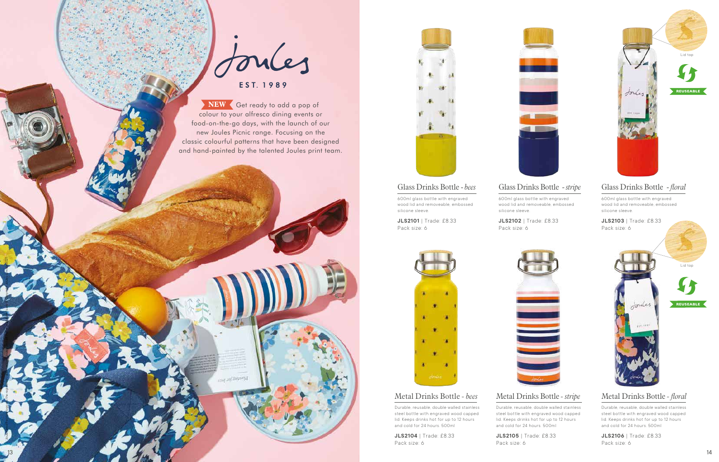

# EST. 1989

Lid top

# Metal Drinks Bottle *- floral*

Durable, reusable, double walled stainless steel bottle with engraved wood capped lid. Keeps drinks hot for up to 12 hours and cold for 24 hours. 500ml

**JLS2106** | Trade: £8.33 Pack size: 6

# Metal Drinks Bottle *- stripe*

Durable, reusable, double walled stainless steel bottle with engraved wood capped lid. Keeps drinks hot for up to 12 hours and cold for 24 hours. 500ml

**JLS2105** | Trade: £8.33 Pack size: 6



## Metal Drinks Bottle *- bees*

Durable, reusable, double walled stainless steel bottle with engraved wood capped lid. Keeps drinks hot for up to 12 hours and cold for 24 hours. 500ml

**JLS2104** | Trade: £8.33 Pack size: 6

# Glass Drinks Bottle - *floral*

600ml glass bottle with engraved wood lid and removeable, embossed silicone sleeve.



### **JLS2103** | Trade: £8.33 Pack size: 6



# Glass Drinks Bottle - *stripe*

600ml glass bottle with engraved wood lid and removeable, embossed silicone sleeve.

**JLS2102** | Trade: £8.33 Pack size: 6



# Glass Drinks Bottle - *bees*

600ml glass bottle with engraved wood lid and removeable, embossed silicone sleeve.

**JLS2101** | Trade: £8.33 Pack size: 6



'Joules' and the Hare logo are the registered trade marks of Joules Limited. Patterns and prints are © Copyright Joules Limited 2021.



 Get ready to add a pop of **NEW** colour to your alfresco dining events or food-on-the-go days, with the launch of our new Joules Picnic range. Focusing on the classic colourful patterns that have been designed and hand-painted by the talented Joules print team.

ing ad Supand



**REUSEABLE**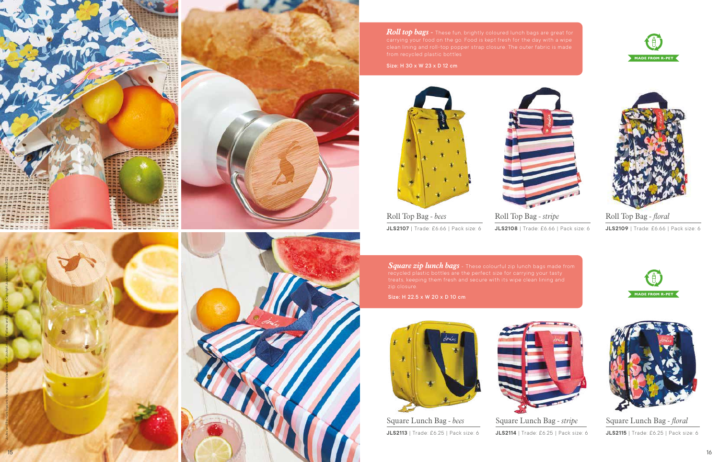Roll Top Bag *- bees* **JLS2107** | Trade: £6.66 | Pack size: 6

Roll Top Bag *- stripe* **JLS2108** | Trade: £6.66 | Pack size: 6



Roll Top Bag *- floral* **JLS2109** | Trade: £6.66 | Pack size: 6





**JLS2113** | Trade: £6.25 | Pack size: 6



Square Lunch Bag *- stripe* **JLS2114** | Trade: £6.25 | Pack size: 6



Square Lunch Bag *- floral* **JLS2115** | Trade: £6.25 | Pack size: 6

'Joules' and the Hare logo are the registered trade marks of Joules Limited. Patterns and prints are © Copyright Joules Limited 2021.



*Roll top bags* - These fun, brightly coloured lunch bags are great for

Size: H 30 x W 23 x D 12 cm



*Square zip lunch bags -* These colourful zip lunch bags made from

Size: H 22.5 x W 20 x D 10 cm









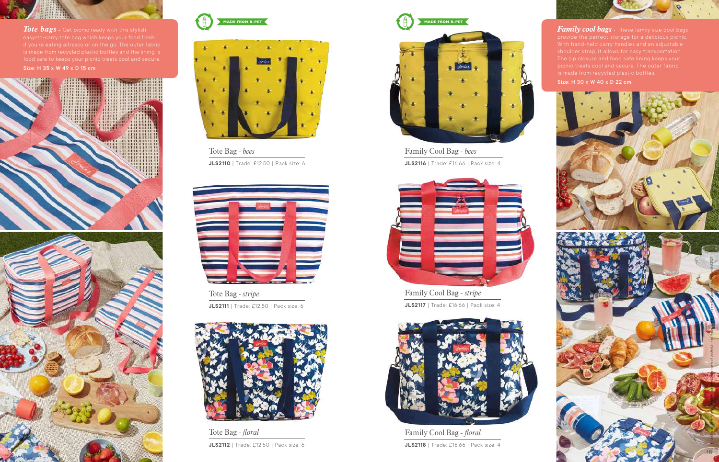Family Cool Bag *- bees* **JLS2116** | Trade: £16.66 | Pack size: 4



Family Cool Bag *- stripe* **JLS2117** | Trade: £16.66 | Pack size: 4



Family Cool Bag *- floral* **JLS2118** | Trade: £16.66 | Pack size: 4 *Family cool bags* - These family size cool bags Size: H 30 x W 40 x D 22 cm



*Tote bags - Get picnic ready with this stylish* 







Tote Bag *- bees* **JLS2110** | Trade: £12.50 | Pack size: 6



Tote Bag *- stripe* **JLS2111** | Trade: £12.50 | Pack size: 6



Tote Bag *- floral* **JLS2112** | Trade: £12.50 | Pack size: 6